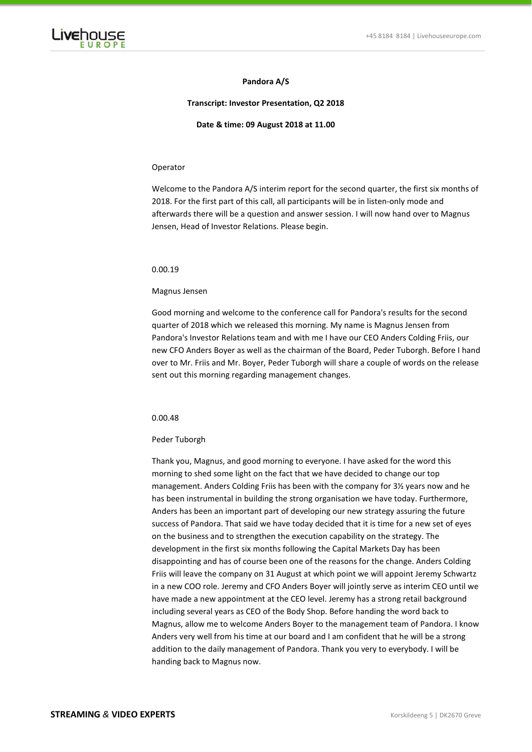

# **Pandora A/S**

# **Transcript: Investor Presentation, Q2 2018**

**Date & time: 09 August 2018 at 11.00**

## Operator

Welcome to the Pandora A/S interim report for the second quarter, the first six months of 2018. For the first part of this call, all participants will be in listen-only mode and afterwards there will be a question and answer session. I will now hand over to Magnus Jensen, Head of Investor Relations. Please begin.

# 0.00.19

## Magnus Jensen

Good morning and welcome to the conference call for Pandora's results for the second quarter of 2018 which we released this morning. My name is Magnus Jensen from Pandora's Investor Relations team and with me I have our CEO Anders Colding Friis, our new CFO Anders Boyer as well as the chairman of the Board, Peder Tuborgh. Before I hand over to Mr. Friis and Mr. Boyer, Peder Tuborgh will share a couple of words on the release sent out this morning regarding management changes.

# 0.00.48

### Peder Tuborgh

Thank you, Magnus, and good morning to everyone. I have asked for the word this morning to shed some light on the fact that we have decided to change our top management. Anders Colding Friis has been with the company for 3½ years now and he has been instrumental in building the strong organisation we have today. Furthermore, Anders has been an important part of developing our new strategy assuring the future success of Pandora. That said we have today decided that it is time for a new set of eyes on the business and to strengthen the execution capability on the strategy. The development in the first six months following the Capital Markets Day has been disappointing and has of course been one of the reasons for the change. Anders Colding Friis will leave the company on 31 August at which point we will appoint Jeremy Schwartz in a new COO role. Jeremy and CFO Anders Boyer will jointly serve as interim CEO until we have made a new appointment at the CEO level. Jeremy has a strong retail background including several years as CEO of the Body Shop. Before handing the word back to Magnus, allow me to welcome Anders Boyer to the management team of Pandora. I know Anders very well from his time at our board and I am confident that he will be a strong addition to the daily management of Pandora. Thank you very to everybody. I will be handing back to Magnus now.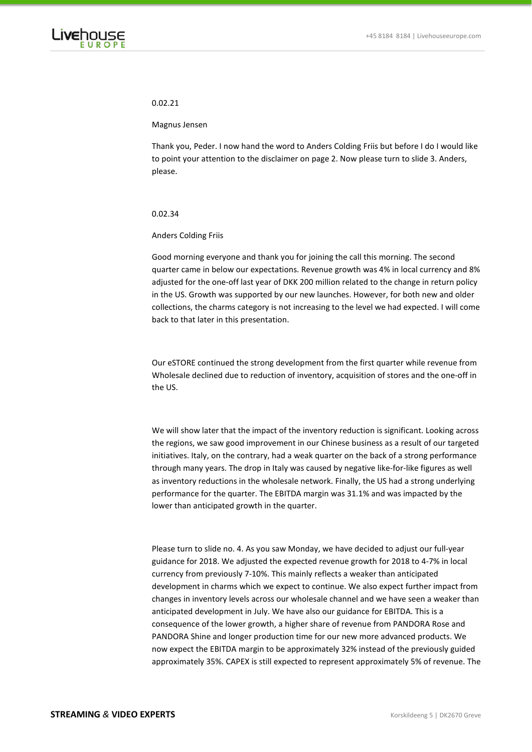

## 0.02.21

Magnus Jensen

Thank you, Peder. I now hand the word to Anders Colding Friis but before I do I would like to point your attention to the disclaimer on page 2. Now please turn to slide 3. Anders, please.

# 0.02.34

# Anders Colding Friis

Good morning everyone and thank you for joining the call this morning. The second quarter came in below our expectations. Revenue growth was 4% in local currency and 8% adjusted for the one-off last year of DKK 200 million related to the change in return policy in the US. Growth was supported by our new launches. However, for both new and older collections, the charms category is not increasing to the level we had expected. I will come back to that later in this presentation.

# Our eSTORE continued the strong development from the first quarter while revenue from Wholesale declined due to reduction of inventory, acquisition of stores and the one-off in the US.

We will show later that the impact of the inventory reduction is significant. Looking across the regions, we saw good improvement in our Chinese business as a result of our targeted initiatives. Italy, on the contrary, had a weak quarter on the back of a strong performance through many years. The drop in Italy was caused by negative like-for-like figures as well as inventory reductions in the wholesale network. Finally, the US had a strong underlying performance for the quarter. The EBITDA margin was 31.1% and was impacted by the lower than anticipated growth in the quarter.

Please turn to slide no. 4. As you saw Monday, we have decided to adjust our full-year guidance for 2018. We adjusted the expected revenue growth for 2018 to 4-7% in local currency from previously 7-10%. This mainly reflects a weaker than anticipated development in charms which we expect to continue. We also expect further impact from changes in inventory levels across our wholesale channel and we have seen a weaker than anticipated development in July. We have also our guidance for EBITDA. This is a consequence of the lower growth, a higher share of revenue from PANDORA Rose and PANDORA Shine and longer production time for our new more advanced products. We now expect the EBITDA margin to be approximately 32% instead of the previously guided approximately 35%. CAPEX is still expected to represent approximately 5% of revenue. The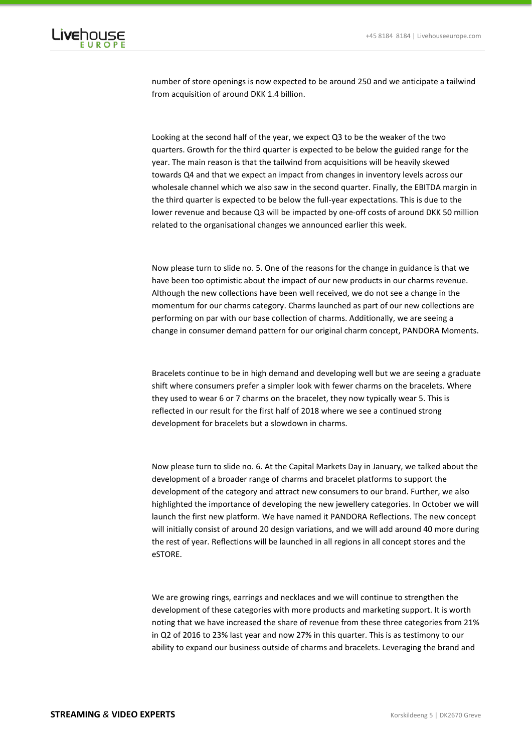

number of store openings is now expected to be around 250 and we anticipate a tailwind from acquisition of around DKK 1.4 billion.

Looking at the second half of the year, we expect Q3 to be the weaker of the two quarters. Growth for the third quarter is expected to be below the guided range for the year. The main reason is that the tailwind from acquisitions will be heavily skewed towards Q4 and that we expect an impact from changes in inventory levels across our wholesale channel which we also saw in the second quarter. Finally, the EBITDA margin in the third quarter is expected to be below the full-year expectations. This is due to the lower revenue and because Q3 will be impacted by one-off costs of around DKK 50 million related to the organisational changes we announced earlier this week.

Now please turn to slide no. 5. One of the reasons for the change in guidance is that we have been too optimistic about the impact of our new products in our charms revenue. Although the new collections have been well received, we do not see a change in the momentum for our charms category. Charms launched as part of our new collections are performing on par with our base collection of charms. Additionally, we are seeing a change in consumer demand pattern for our original charm concept, PANDORA Moments.

Bracelets continue to be in high demand and developing well but we are seeing a graduate shift where consumers prefer a simpler look with fewer charms on the bracelets. Where they used to wear 6 or 7 charms on the bracelet, they now typically wear 5. This is reflected in our result for the first half of 2018 where we see a continued strong development for bracelets but a slowdown in charms.

Now please turn to slide no. 6. At the Capital Markets Day in January, we talked about the development of a broader range of charms and bracelet platforms to support the development of the category and attract new consumers to our brand. Further, we also highlighted the importance of developing the new jewellery categories. In October we will launch the first new platform. We have named it PANDORA Reflections. The new concept will initially consist of around 20 design variations, and we will add around 40 more during the rest of year. Reflections will be launched in all regions in all concept stores and the eSTORE.

We are growing rings, earrings and necklaces and we will continue to strengthen the development of these categories with more products and marketing support. It is worth noting that we have increased the share of revenue from these three categories from 21% in Q2 of 2016 to 23% last year and now 27% in this quarter. This is as testimony to our ability to expand our business outside of charms and bracelets. Leveraging the brand and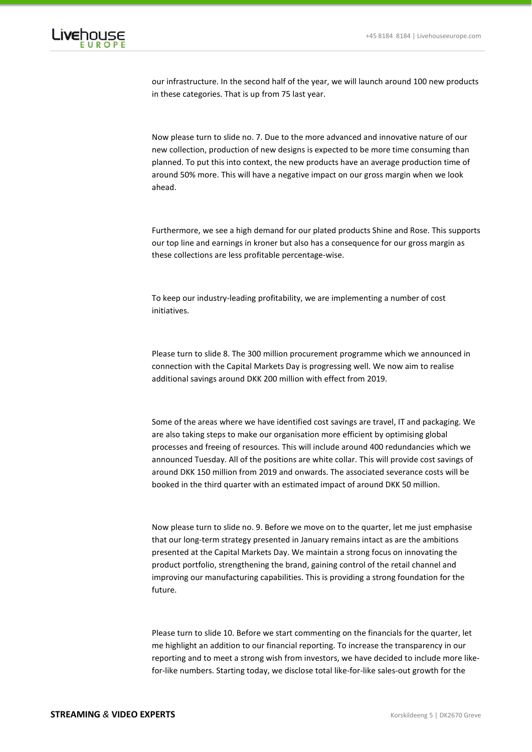

our infrastructure. In the second half of the year, we will launch around 100 new products in these categories. That is up from 75 last year.

Now please turn to slide no. 7. Due to the more advanced and innovative nature of our new collection, production of new designs is expected to be more time consuming than planned. To put this into context, the new products have an average production time of around 50% more. This will have a negative impact on our gross margin when we look ahead.

Furthermore, we see a high demand for our plated products Shine and Rose. This supports our top line and earnings in kroner but also has a consequence for our gross margin as these collections are less profitable percentage-wise.

To keep our industry-leading profitability, we are implementing a number of cost initiatives.

Please turn to slide 8. The 300 million procurement programme which we announced in connection with the Capital Markets Day is progressing well. We now aim to realise additional savings around DKK 200 million with effect from 2019.

Some of the areas where we have identified cost savings are travel, IT and packaging. We are also taking steps to make our organisation more efficient by optimising global processes and freeing of resources. This will include around 400 redundancies which we announced Tuesday. All of the positions are white collar. This will provide cost savings of around DKK 150 million from 2019 and onwards. The associated severance costs will be booked in the third quarter with an estimated impact of around DKK 50 million.

Now please turn to slide no. 9. Before we move on to the quarter, let me just emphasise that our long-term strategy presented in January remains intact as are the ambitions presented at the Capital Markets Day. We maintain a strong focus on innovating the product portfolio, strengthening the brand, gaining control of the retail channel and improving our manufacturing capabilities. This is providing a strong foundation for the future.

Please turn to slide 10. Before we start commenting on the financials for the quarter, let me highlight an addition to our financial reporting. To increase the transparency in our reporting and to meet a strong wish from investors, we have decided to include more likefor-like numbers. Starting today, we disclose total like-for-like sales-out growth for the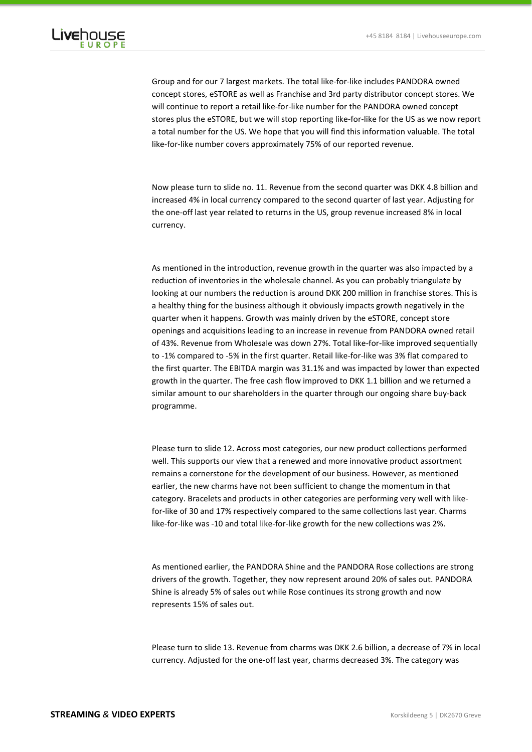

Group and for our 7 largest markets. The total like-for-like includes PANDORA owned concept stores, eSTORE as well as Franchise and 3rd party distributor concept stores. We will continue to report a retail like-for-like number for the PANDORA owned concept stores plus the eSTORE, but we will stop reporting like-for-like for the US as we now report a total number for the US. We hope that you will find this information valuable. The total like-for-like number covers approximately 75% of our reported revenue.

Now please turn to slide no. 11. Revenue from the second quarter was DKK 4.8 billion and increased 4% in local currency compared to the second quarter of last year. Adjusting for the one-off last year related to returns in the US, group revenue increased 8% in local currency.

As mentioned in the introduction, revenue growth in the quarter was also impacted by a reduction of inventories in the wholesale channel. As you can probably triangulate by looking at our numbers the reduction is around DKK 200 million in franchise stores. This is a healthy thing for the business although it obviously impacts growth negatively in the quarter when it happens. Growth was mainly driven by the eSTORE, concept store openings and acquisitions leading to an increase in revenue from PANDORA owned retail of 43%. Revenue from Wholesale was down 27%. Total like-for-like improved sequentially to -1% compared to -5% in the first quarter. Retail like-for-like was 3% flat compared to the first quarter. The EBITDA margin was 31.1% and was impacted by lower than expected growth in the quarter. The free cash flow improved to DKK 1.1 billion and we returned a similar amount to our shareholders in the quarter through our ongoing share buy-back programme.

Please turn to slide 12. Across most categories, our new product collections performed well. This supports our view that a renewed and more innovative product assortment remains a cornerstone for the development of our business. However, as mentioned earlier, the new charms have not been sufficient to change the momentum in that category. Bracelets and products in other categories are performing very well with likefor-like of 30 and 17% respectively compared to the same collections last year. Charms like-for-like was -10 and total like-for-like growth for the new collections was 2%.

As mentioned earlier, the PANDORA Shine and the PANDORA Rose collections are strong drivers of the growth. Together, they now represent around 20% of sales out. PANDORA Shine is already 5% of sales out while Rose continues its strong growth and now represents 15% of sales out.

Please turn to slide 13. Revenue from charms was DKK 2.6 billion, a decrease of 7% in local currency. Adjusted for the one-off last year, charms decreased 3%. The category was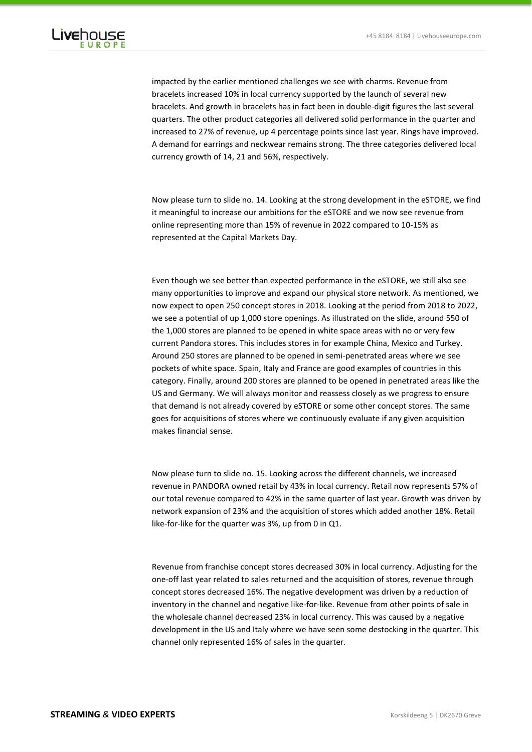

impacted by the earlier mentioned challenges we see with charms. Revenue from bracelets increased 10% in local currency supported by the launch of several new bracelets. And growth in bracelets has in fact been in double-digit figures the last several quarters. The other product categories all delivered solid performance in the quarter and increased to 27% of revenue, up 4 percentage points since last year. Rings have improved. A demand for earrings and neckwear remains strong. The three categories delivered local currency growth of 14, 21 and 56%, respectively.

Now please turn to slide no. 14. Looking at the strong development in the eSTORE, we find it meaningful to increase our ambitions for the eSTORE and we now see revenue from online representing more than 15% of revenue in 2022 compared to 10-15% as represented at the Capital Markets Day.

Even though we see better than expected performance in the eSTORE, we still also see many opportunities to improve and expand our physical store network. As mentioned, we now expect to open 250 concept stores in 2018. Looking at the period from 2018 to 2022, we see a potential of up 1,000 store openings. As illustrated on the slide, around 550 of the 1,000 stores are planned to be opened in white space areas with no or very few current Pandora stores. This includes stores in for example China, Mexico and Turkey. Around 250 stores are planned to be opened in semi-penetrated areas where we see pockets of white space. Spain, Italy and France are good examples of countries in this category. Finally, around 200 stores are planned to be opened in penetrated areas like the US and Germany. We will always monitor and reassess closely as we progress to ensure that demand is not already covered by eSTORE or some other concept stores. The same goes for acquisitions of stores where we continuously evaluate if any given acquisition makes financial sense.

Now please turn to slide no. 15. Looking across the different channels, we increased revenue in PANDORA owned retail by 43% in local currency. Retail now represents 57% of our total revenue compared to 42% in the same quarter of last year. Growth was driven by network expansion of 23% and the acquisition of stores which added another 18%. Retail like-for-like for the quarter was 3%, up from 0 in Q1.

Revenue from franchise concept stores decreased 30% in local currency. Adjusting for the one-off last year related to sales returned and the acquisition of stores, revenue through concept stores decreased 16%. The negative development was driven by a reduction of inventory in the channel and negative like-for-like. Revenue from other points of sale in the wholesale channel decreased 23% in local currency. This was caused by a negative development in the US and Italy where we have seen some destocking in the quarter. This channel only represented 16% of sales in the quarter.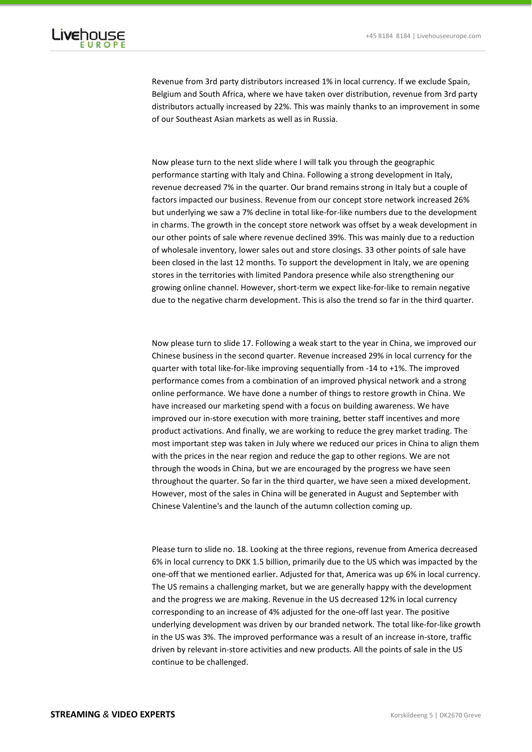

Revenue from 3rd party distributors increased 1% in local currency. If we exclude Spain, Belgium and South Africa, where we have taken over distribution, revenue from 3rd party distributors actually increased by 22%. This was mainly thanks to an improvement in some of our Southeast Asian markets as well as in Russia.

Now please turn to the next slide where I will talk you through the geographic performance starting with Italy and China. Following a strong development in Italy, revenue decreased 7% in the quarter. Our brand remains strong in Italy but a couple of factors impacted our business. Revenue from our concept store network increased 26% but underlying we saw a 7% decline in total like-for-like numbers due to the development in charms. The growth in the concept store network was offset by a weak development in our other points of sale where revenue declined 39%. This was mainly due to a reduction of wholesale inventory, lower sales out and store closings. 33 other points of sale have been closed in the last 12 months. To support the development in Italy, we are opening stores in the territories with limited Pandora presence while also strengthening our growing online channel. However, short-term we expect like-for-like to remain negative due to the negative charm development. This is also the trend so far in the third quarter.

Now please turn to slide 17. Following a weak start to the year in China, we improved our Chinese business in the second quarter. Revenue increased 29% in local currency for the quarter with total like-for-like improving sequentially from -14 to +1%. The improved performance comes from a combination of an improved physical network and a strong online performance. We have done a number of things to restore growth in China. We have increased our marketing spend with a focus on building awareness. We have improved our in-store execution with more training, better staff incentives and more product activations. And finally, we are working to reduce the grey market trading. The most important step was taken in July where we reduced our prices in China to align them with the prices in the near region and reduce the gap to other regions. We are not through the woods in China, but we are encouraged by the progress we have seen throughout the quarter. So far in the third quarter, we have seen a mixed development. However, most of the sales in China will be generated in August and September with Chinese Valentine's and the launch of the autumn collection coming up.

Please turn to slide no. 18. Looking at the three regions, revenue from America decreased 6% in local currency to DKK 1.5 billion, primarily due to the US which was impacted by the one-off that we mentioned earlier. Adjusted for that, America was up 6% in local currency. The US remains a challenging market, but we are generally happy with the development and the progress we are making. Revenue in the US decreased 12% in local currency corresponding to an increase of 4% adjusted for the one-off last year. The positive underlying development was driven by our branded network. The total like-for-like growth in the US was 3%. The improved performance was a result of an increase in-store, traffic driven by relevant in-store activities and new products. All the points of sale in the US continue to be challenged.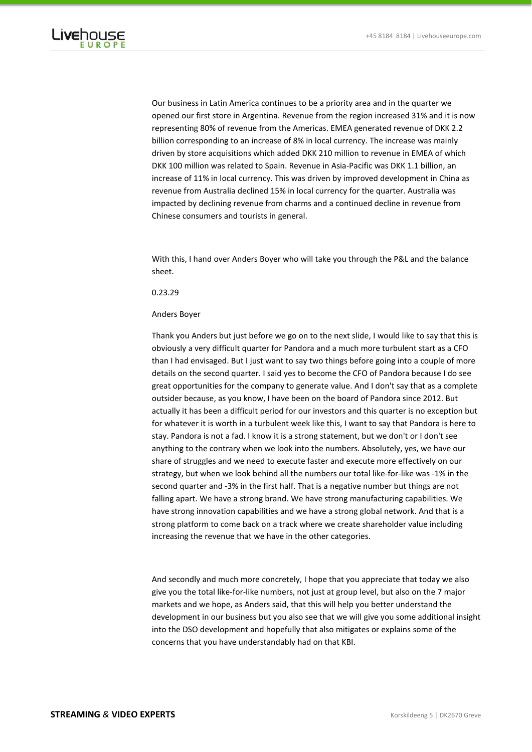

Our business in Latin America continues to be a priority area and in the quarter we opened our first store in Argentina. Revenue from the region increased 31% and it is now representing 80% of revenue from the Americas. EMEA generated revenue of DKK 2.2 billion corresponding to an increase of 8% in local currency. The increase was mainly driven by store acquisitions which added DKK 210 million to revenue in EMEA of which DKK 100 million was related to Spain. Revenue in Asia-Pacific was DKK 1.1 billion, an increase of 11% in local currency. This was driven by improved development in China as revenue from Australia declined 15% in local currency for the quarter. Australia was impacted by declining revenue from charms and a continued decline in revenue from Chinese consumers and tourists in general.

With this, I hand over Anders Boyer who will take you through the P&L and the balance sheet.

# 0.23.29

### Anders Boyer

Thank you Anders but just before we go on to the next slide, I would like to say that this is obviously a very difficult quarter for Pandora and a much more turbulent start as a CFO than I had envisaged. But I just want to say two things before going into a couple of more details on the second quarter. I said yes to become the CFO of Pandora because I do see great opportunities for the company to generate value. And I don't say that as a complete outsider because, as you know, I have been on the board of Pandora since 2012. But actually it has been a difficult period for our investors and this quarter is no exception but for whatever it is worth in a turbulent week like this, I want to say that Pandora is here to stay. Pandora is not a fad. I know it is a strong statement, but we don't or I don't see anything to the contrary when we look into the numbers. Absolutely, yes, we have our share of struggles and we need to execute faster and execute more effectively on our strategy, but when we look behind all the numbers our total like-for-like was -1% in the second quarter and -3% in the first half. That is a negative number but things are not falling apart. We have a strong brand. We have strong manufacturing capabilities. We have strong innovation capabilities and we have a strong global network. And that is a strong platform to come back on a track where we create shareholder value including increasing the revenue that we have in the other categories.

And secondly and much more concretely, I hope that you appreciate that today we also give you the total like-for-like numbers, not just at group level, but also on the 7 major markets and we hope, as Anders said, that this will help you better understand the development in our business but you also see that we will give you some additional insight into the DSO development and hopefully that also mitigates or explains some of the concerns that you have understandably had on that KBI.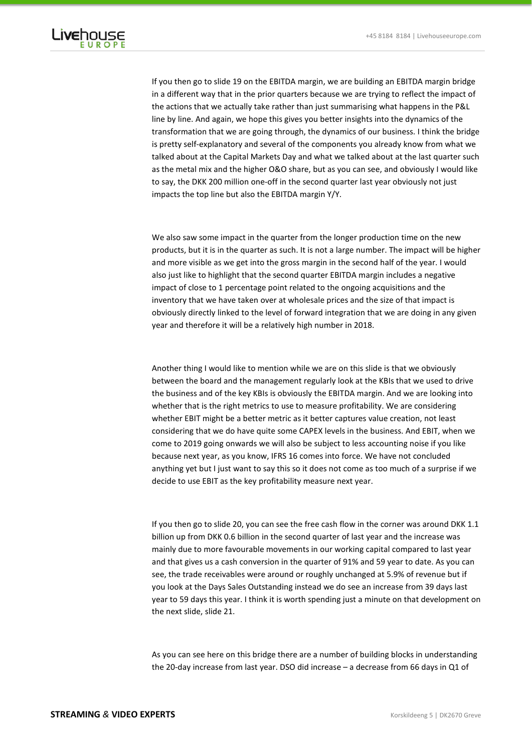

If you then go to slide 19 on the EBITDA margin, we are building an EBITDA margin bridge in a different way that in the prior quarters because we are trying to reflect the impact of the actions that we actually take rather than just summarising what happens in the P&L line by line. And again, we hope this gives you better insights into the dynamics of the transformation that we are going through, the dynamics of our business. I think the bridge is pretty self-explanatory and several of the components you already know from what we talked about at the Capital Markets Day and what we talked about at the last quarter such as the metal mix and the higher O&O share, but as you can see, and obviously I would like to say, the DKK 200 million one-off in the second quarter last year obviously not just impacts the top line but also the EBITDA margin Y/Y.

# We also saw some impact in the quarter from the longer production time on the new products, but it is in the quarter as such. It is not a large number. The impact will be higher and more visible as we get into the gross margin in the second half of the year. I would also just like to highlight that the second quarter EBITDA margin includes a negative impact of close to 1 percentage point related to the ongoing acquisitions and the inventory that we have taken over at wholesale prices and the size of that impact is obviously directly linked to the level of forward integration that we are doing in any given year and therefore it will be a relatively high number in 2018.

Another thing I would like to mention while we are on this slide is that we obviously between the board and the management regularly look at the KBIs that we used to drive the business and of the key KBIs is obviously the EBITDA margin. And we are looking into whether that is the right metrics to use to measure profitability. We are considering whether EBIT might be a better metric as it better captures value creation, not least considering that we do have quite some CAPEX levels in the business. And EBIT, when we come to 2019 going onwards we will also be subject to less accounting noise if you like because next year, as you know, IFRS 16 comes into force. We have not concluded anything yet but I just want to say this so it does not come as too much of a surprise if we decide to use EBIT as the key profitability measure next year.

If you then go to slide 20, you can see the free cash flow in the corner was around DKK 1.1 billion up from DKK 0.6 billion in the second quarter of last year and the increase was mainly due to more favourable movements in our working capital compared to last year and that gives us a cash conversion in the quarter of 91% and 59 year to date. As you can see, the trade receivables were around or roughly unchanged at 5.9% of revenue but if you look at the Days Sales Outstanding instead we do see an increase from 39 days last year to 59 days this year. I think it is worth spending just a minute on that development on the next slide, slide 21.

As you can see here on this bridge there are a number of building blocks in understanding the 20-day increase from last year. DSO did increase – a decrease from 66 days in Q1 of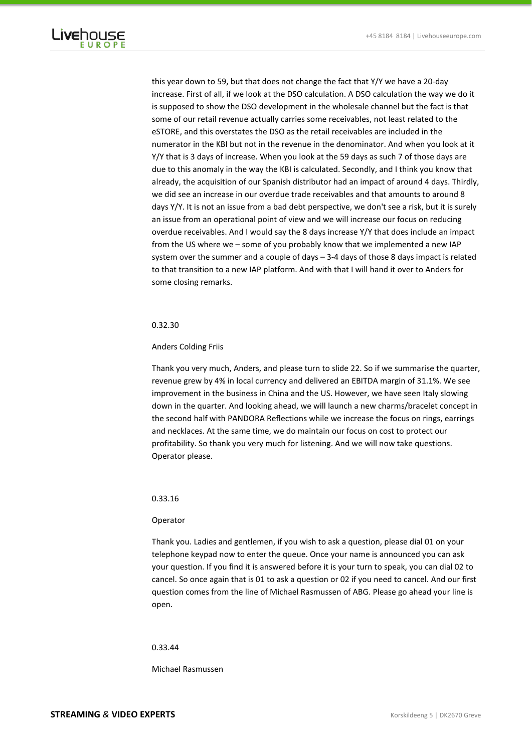

this year down to 59, but that does not change the fact that Y/Y we have a 20-day increase. First of all, if we look at the DSO calculation. A DSO calculation the way we do it is supposed to show the DSO development in the wholesale channel but the fact is that some of our retail revenue actually carries some receivables, not least related to the eSTORE, and this overstates the DSO as the retail receivables are included in the numerator in the KBI but not in the revenue in the denominator. And when you look at it Y/Y that is 3 days of increase. When you look at the 59 days as such 7 of those days are due to this anomaly in the way the KBI is calculated. Secondly, and I think you know that already, the acquisition of our Spanish distributor had an impact of around 4 days. Thirdly, we did see an increase in our overdue trade receivables and that amounts to around 8 days Y/Y. It is not an issue from a bad debt perspective, we don't see a risk, but it is surely an issue from an operational point of view and we will increase our focus on reducing overdue receivables. And I would say the 8 days increase Y/Y that does include an impact from the US where we – some of you probably know that we implemented a new IAP system over the summer and a couple of days – 3-4 days of those 8 days impact is related to that transition to a new IAP platform. And with that I will hand it over to Anders for some closing remarks.

### 0.32.30

## Anders Colding Friis

Thank you very much, Anders, and please turn to slide 22. So if we summarise the quarter, revenue grew by 4% in local currency and delivered an EBITDA margin of 31.1%. We see improvement in the business in China and the US. However, we have seen Italy slowing down in the quarter. And looking ahead, we will launch a new charms/bracelet concept in the second half with PANDORA Reflections while we increase the focus on rings, earrings and necklaces. At the same time, we do maintain our focus on cost to protect our profitability. So thank you very much for listening. And we will now take questions. Operator please.

## 0.33.16

### Operator

Thank you. Ladies and gentlemen, if you wish to ask a question, please dial 01 on your telephone keypad now to enter the queue. Once your name is announced you can ask your question. If you find it is answered before it is your turn to speak, you can dial 02 to cancel. So once again that is 01 to ask a question or 02 if you need to cancel. And our first question comes from the line of Michael Rasmussen of ABG. Please go ahead your line is open.

### 0.33.44

Michael Rasmussen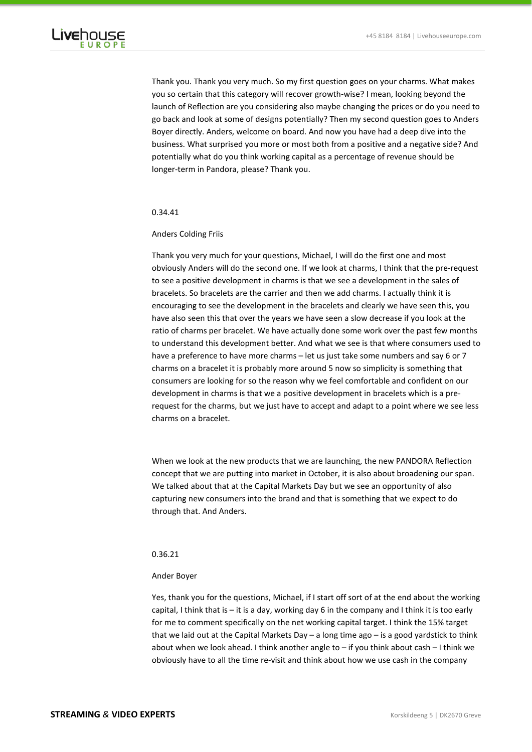

Thank you. Thank you very much. So my first question goes on your charms. What makes you so certain that this category will recover growth-wise? I mean, looking beyond the launch of Reflection are you considering also maybe changing the prices or do you need to go back and look at some of designs potentially? Then my second question goes to Anders Boyer directly. Anders, welcome on board. And now you have had a deep dive into the business. What surprised you more or most both from a positive and a negative side? And potentially what do you think working capital as a percentage of revenue should be longer-term in Pandora, please? Thank you.

### 0.34.41

# Anders Colding Friis

Thank you very much for your questions, Michael, I will do the first one and most obviously Anders will do the second one. If we look at charms, I think that the pre-request to see a positive development in charms is that we see a development in the sales of bracelets. So bracelets are the carrier and then we add charms. I actually think it is encouraging to see the development in the bracelets and clearly we have seen this, you have also seen this that over the years we have seen a slow decrease if you look at the ratio of charms per bracelet. We have actually done some work over the past few months to understand this development better. And what we see is that where consumers used to have a preference to have more charms – let us just take some numbers and say 6 or 7 charms on a bracelet it is probably more around 5 now so simplicity is something that consumers are looking for so the reason why we feel comfortable and confident on our development in charms is that we a positive development in bracelets which is a prerequest for the charms, but we just have to accept and adapt to a point where we see less charms on a bracelet.

When we look at the new products that we are launching, the new PANDORA Reflection concept that we are putting into market in October, it is also about broadening our span. We talked about that at the Capital Markets Day but we see an opportunity of also capturing new consumers into the brand and that is something that we expect to do through that. And Anders.

# 0.36.21

### Ander Boyer

Yes, thank you for the questions, Michael, if I start off sort of at the end about the working capital, I think that is – it is a day, working day 6 in the company and I think it is too early for me to comment specifically on the net working capital target. I think the 15% target that we laid out at the Capital Markets Day – a long time ago – is a good yardstick to think about when we look ahead. I think another angle to – if you think about cash – I think we obviously have to all the time re-visit and think about how we use cash in the company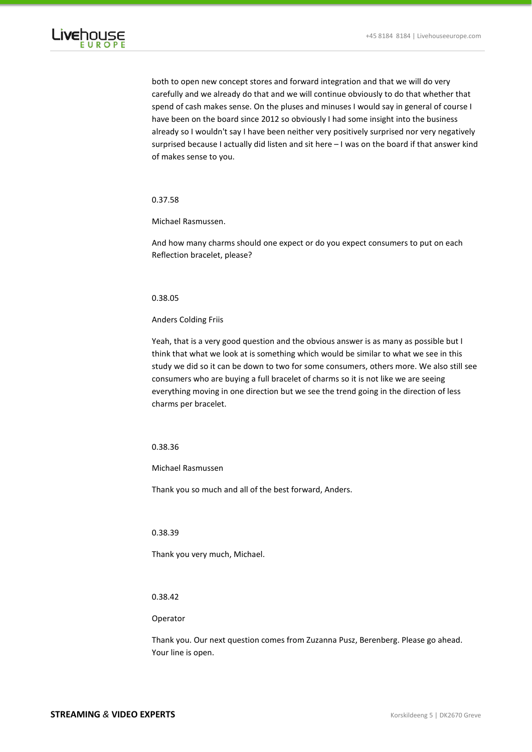

both to open new concept stores and forward integration and that we will do very carefully and we already do that and we will continue obviously to do that whether that spend of cash makes sense. On the pluses and minuses I would say in general of course I have been on the board since 2012 so obviously I had some insight into the business already so I wouldn't say I have been neither very positively surprised nor very negatively surprised because I actually did listen and sit here – I was on the board if that answer kind of makes sense to you.

# 0.37.58

Michael Rasmussen.

And how many charms should one expect or do you expect consumers to put on each Reflection bracelet, please?

# 0.38.05

Anders Colding Friis

Yeah, that is a very good question and the obvious answer is as many as possible but I think that what we look at is something which would be similar to what we see in this study we did so it can be down to two for some consumers, others more. We also still see consumers who are buying a full bracelet of charms so it is not like we are seeing everything moving in one direction but we see the trend going in the direction of less charms per bracelet.

# 0.38.36

Michael Rasmussen

Thank you so much and all of the best forward, Anders.

# 0.38.39

Thank you very much, Michael.

# 0.38.42

# Operator

Thank you. Our next question comes from Zuzanna Pusz, Berenberg. Please go ahead. Your line is open.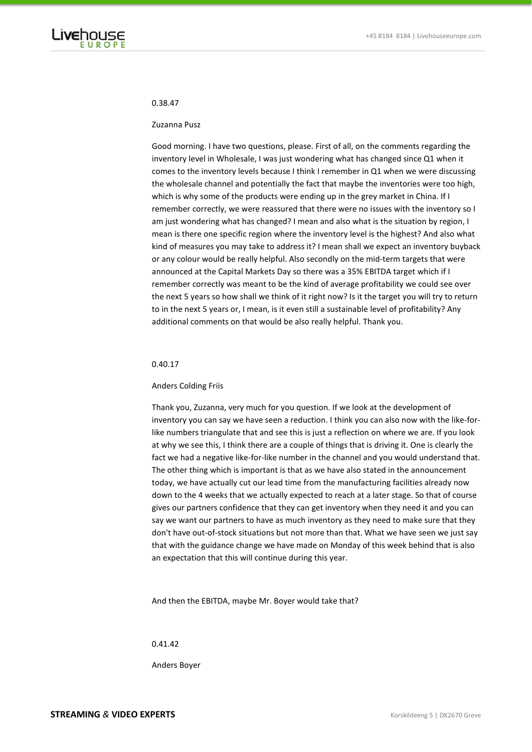

# 0.38.47

### Zuzanna Pusz

Good morning. I have two questions, please. First of all, on the comments regarding the inventory level in Wholesale, I was just wondering what has changed since Q1 when it comes to the inventory levels because I think I remember in Q1 when we were discussing the wholesale channel and potentially the fact that maybe the inventories were too high, which is why some of the products were ending up in the grey market in China. If I remember correctly, we were reassured that there were no issues with the inventory so I am just wondering what has changed? I mean and also what is the situation by region, I mean is there one specific region where the inventory level is the highest? And also what kind of measures you may take to address it? I mean shall we expect an inventory buyback or any colour would be really helpful. Also secondly on the mid-term targets that were announced at the Capital Markets Day so there was a 35% EBITDA target which if I remember correctly was meant to be the kind of average profitability we could see over the next 5 years so how shall we think of it right now? Is it the target you will try to return to in the next 5 years or, I mean, is it even still a sustainable level of profitability? Any additional comments on that would be also really helpful. Thank you.

#### 0.40.17

#### Anders Colding Friis

Thank you, Zuzanna, very much for you question. If we look at the development of inventory you can say we have seen a reduction. I think you can also now with the like-forlike numbers triangulate that and see this is just a reflection on where we are. If you look at why we see this, I think there are a couple of things that is driving it. One is clearly the fact we had a negative like-for-like number in the channel and you would understand that. The other thing which is important is that as we have also stated in the announcement today, we have actually cut our lead time from the manufacturing facilities already now down to the 4 weeks that we actually expected to reach at a later stage. So that of course gives our partners confidence that they can get inventory when they need it and you can say we want our partners to have as much inventory as they need to make sure that they don't have out-of-stock situations but not more than that. What we have seen we just say that with the guidance change we have made on Monday of this week behind that is also an expectation that this will continue during this year.

And then the EBITDA, maybe Mr. Boyer would take that?

### 0.41.42

Anders Boyer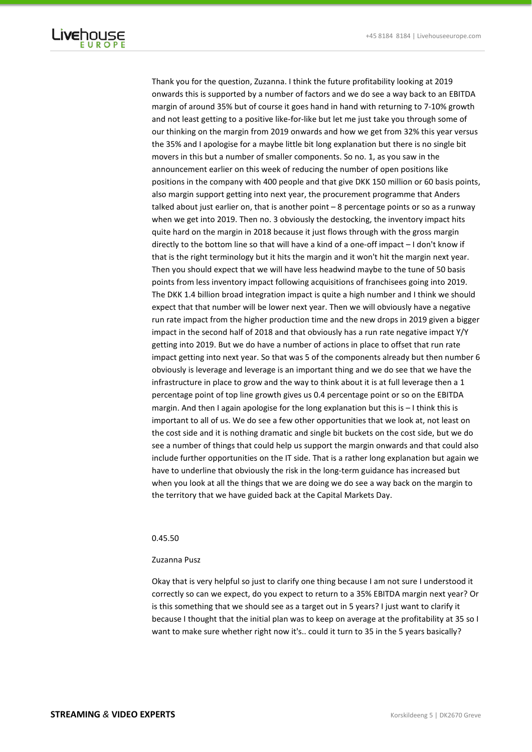

Thank you for the question, Zuzanna. I think the future profitability looking at 2019 onwards this is supported by a number of factors and we do see a way back to an EBITDA margin of around 35% but of course it goes hand in hand with returning to 7-10% growth and not least getting to a positive like-for-like but let me just take you through some of our thinking on the margin from 2019 onwards and how we get from 32% this year versus the 35% and I apologise for a maybe little bit long explanation but there is no single bit movers in this but a number of smaller components. So no. 1, as you saw in the announcement earlier on this week of reducing the number of open positions like positions in the company with 400 people and that give DKK 150 million or 60 basis points, also margin support getting into next year, the procurement programme that Anders talked about just earlier on, that is another point – 8 percentage points or so as a runway when we get into 2019. Then no. 3 obviously the destocking, the inventory impact hits quite hard on the margin in 2018 because it just flows through with the gross margin directly to the bottom line so that will have a kind of a one-off impact – I don't know if that is the right terminology but it hits the margin and it won't hit the margin next year. Then you should expect that we will have less headwind maybe to the tune of 50 basis points from less inventory impact following acquisitions of franchisees going into 2019. The DKK 1.4 billion broad integration impact is quite a high number and I think we should expect that that number will be lower next year. Then we will obviously have a negative run rate impact from the higher production time and the new drops in 2019 given a bigger impact in the second half of 2018 and that obviously has a run rate negative impact Y/Y getting into 2019. But we do have a number of actions in place to offset that run rate impact getting into next year. So that was 5 of the components already but then number 6 obviously is leverage and leverage is an important thing and we do see that we have the infrastructure in place to grow and the way to think about it is at full leverage then a 1 percentage point of top line growth gives us 0.4 percentage point or so on the EBITDA margin. And then I again apologise for the long explanation but this is – I think this is important to all of us. We do see a few other opportunities that we look at, not least on the cost side and it is nothing dramatic and single bit buckets on the cost side, but we do see a number of things that could help us support the margin onwards and that could also include further opportunities on the IT side. That is a rather long explanation but again we have to underline that obviously the risk in the long-term guidance has increased but when you look at all the things that we are doing we do see a way back on the margin to the territory that we have guided back at the Capital Markets Day.

# 0.45.50

## Zuzanna Pusz

Okay that is very helpful so just to clarify one thing because I am not sure I understood it correctly so can we expect, do you expect to return to a 35% EBITDA margin next year? Or is this something that we should see as a target out in 5 years? I just want to clarify it because I thought that the initial plan was to keep on average at the profitability at 35 so I want to make sure whether right now it's.. could it turn to 35 in the 5 years basically?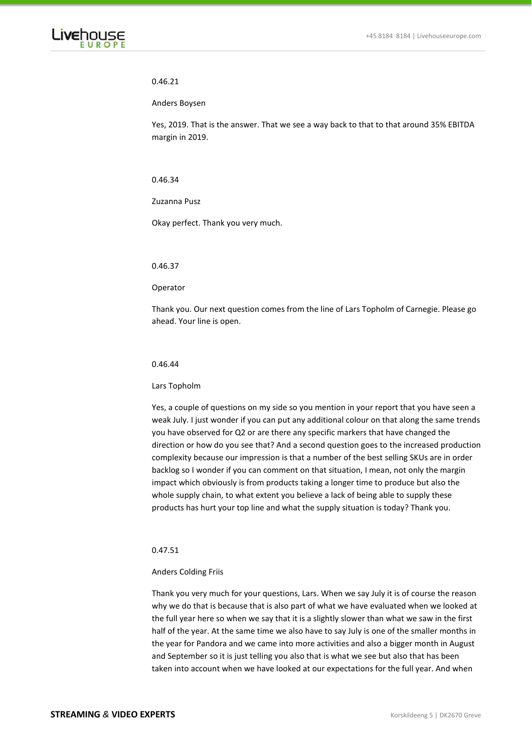

# 0.46.21

# Anders Boysen

Yes, 2019. That is the answer. That we see a way back to that to that around 35% EBITDA margin in 2019.

# 0.46.34

Zuzanna Pusz

Okay perfect. Thank you very much.

0.46.37

Operator

Thank you. Our next question comes from the line of Lars Topholm of Carnegie. Please go ahead. Your line is open.

# 0.46.44

# Lars Topholm

Yes, a couple of questions on my side so you mention in your report that you have seen a weak July. I just wonder if you can put any additional colour on that along the same trends you have observed for Q2 or are there any specific markers that have changed the direction or how do you see that? And a second question goes to the increased production complexity because our impression is that a number of the best selling SKUs are in order backlog so I wonder if you can comment on that situation, I mean, not only the margin impact which obviously is from products taking a longer time to produce but also the whole supply chain, to what extent you believe a lack of being able to supply these products has hurt your top line and what the supply situation is today? Thank you.

# 0.47.51

# Anders Colding Friis

Thank you very much for your questions, Lars. When we say July it is of course the reason why we do that is because that is also part of what we have evaluated when we looked at the full year here so when we say that it is a slightly slower than what we saw in the first half of the year. At the same time we also have to say July is one of the smaller months in the year for Pandora and we came into more activities and also a bigger month in August and September so it is just telling you also that is what we see but also that has been taken into account when we have looked at our expectations for the full year. And when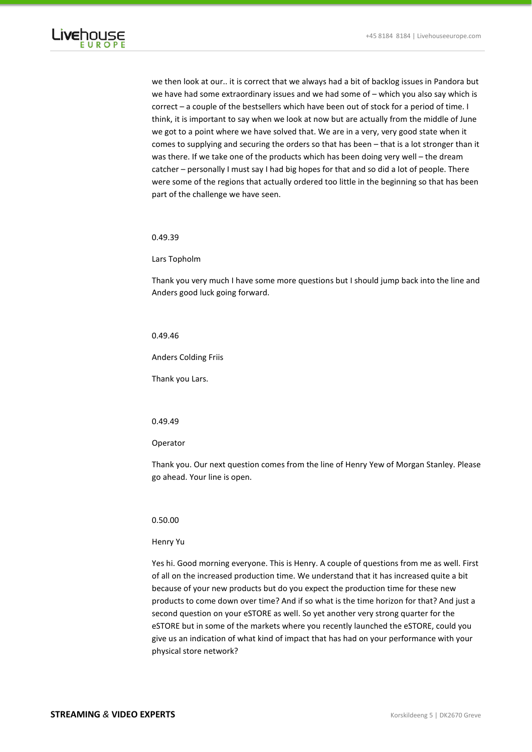

we then look at our.. it is correct that we always had a bit of backlog issues in Pandora but we have had some extraordinary issues and we had some of – which you also say which is correct – a couple of the bestsellers which have been out of stock for a period of time. I think, it is important to say when we look at now but are actually from the middle of June we got to a point where we have solved that. We are in a very, very good state when it comes to supplying and securing the orders so that has been – that is a lot stronger than it was there. If we take one of the products which has been doing very well – the dream catcher – personally I must say I had big hopes for that and so did a lot of people. There were some of the regions that actually ordered too little in the beginning so that has been part of the challenge we have seen.

0.49.39

Lars Topholm

Thank you very much I have some more questions but I should jump back into the line and Anders good luck going forward.

## 0.49.46

Anders Colding Friis

Thank you Lars.

# 0.49.49

Operator

Thank you. Our next question comes from the line of Henry Yew of Morgan Stanley. Please go ahead. Your line is open.

## 0.50.00

## Henry Yu

Yes hi. Good morning everyone. This is Henry. A couple of questions from me as well. First of all on the increased production time. We understand that it has increased quite a bit because of your new products but do you expect the production time for these new products to come down over time? And if so what is the time horizon for that? And just a second question on your eSTORE as well. So yet another very strong quarter for the eSTORE but in some of the markets where you recently launched the eSTORE, could you give us an indication of what kind of impact that has had on your performance with your physical store network?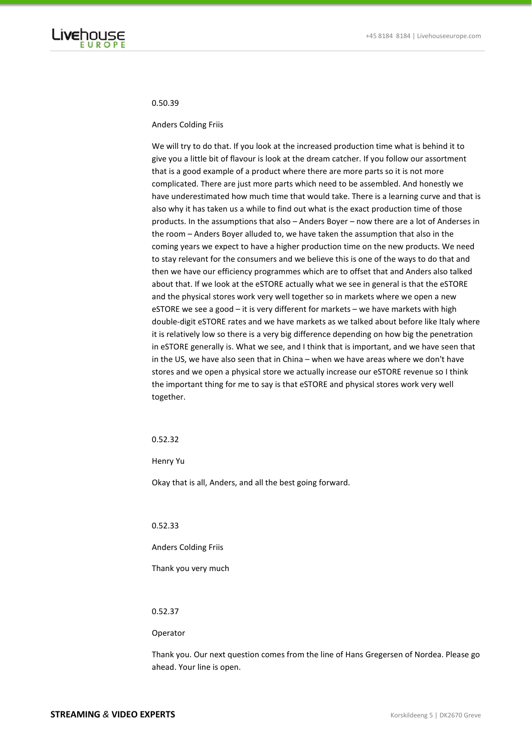

# 0.50.39

### Anders Colding Friis

We will try to do that. If you look at the increased production time what is behind it to give you a little bit of flavour is look at the dream catcher. If you follow our assortment that is a good example of a product where there are more parts so it is not more complicated. There are just more parts which need to be assembled. And honestly we have underestimated how much time that would take. There is a learning curve and that is also why it has taken us a while to find out what is the exact production time of those products. In the assumptions that also – Anders Boyer – now there are a lot of Anderses in the room – Anders Boyer alluded to, we have taken the assumption that also in the coming years we expect to have a higher production time on the new products. We need to stay relevant for the consumers and we believe this is one of the ways to do that and then we have our efficiency programmes which are to offset that and Anders also talked about that. If we look at the eSTORE actually what we see in general is that the eSTORE and the physical stores work very well together so in markets where we open a new eSTORE we see a good – it is very different for markets – we have markets with high double-digit eSTORE rates and we have markets as we talked about before like Italy where it is relatively low so there is a very big difference depending on how big the penetration in eSTORE generally is. What we see, and I think that is important, and we have seen that in the US, we have also seen that in China – when we have areas where we don't have stores and we open a physical store we actually increase our eSTORE revenue so I think the important thing for me to say is that eSTORE and physical stores work very well together.

# 0.52.32

Henry Yu

Okay that is all, Anders, and all the best going forward.

# 0.52.33

Anders Colding Friis

Thank you very much

# 0.52.37

#### Operator

Thank you. Our next question comes from the line of Hans Gregersen of Nordea. Please go ahead. Your line is open.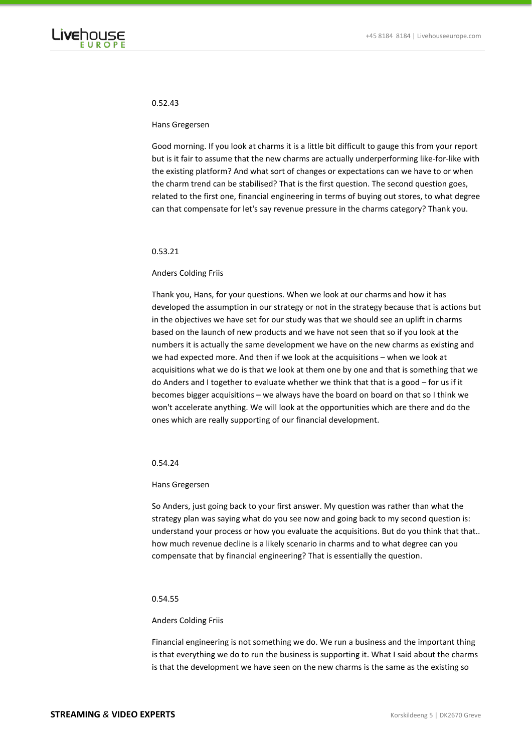

# 0.52.43

#### Hans Gregersen

Good morning. If you look at charms it is a little bit difficult to gauge this from your report but is it fair to assume that the new charms are actually underperforming like-for-like with the existing platform? And what sort of changes or expectations can we have to or when the charm trend can be stabilised? That is the first question. The second question goes, related to the first one, financial engineering in terms of buying out stores, to what degree can that compensate for let's say revenue pressure in the charms category? Thank you.

## 0.53.21

### Anders Colding Friis

Thank you, Hans, for your questions. When we look at our charms and how it has developed the assumption in our strategy or not in the strategy because that is actions but in the objectives we have set for our study was that we should see an uplift in charms based on the launch of new products and we have not seen that so if you look at the numbers it is actually the same development we have on the new charms as existing and we had expected more. And then if we look at the acquisitions – when we look at acquisitions what we do is that we look at them one by one and that is something that we do Anders and I together to evaluate whether we think that that is a good – for us if it becomes bigger acquisitions – we always have the board on board on that so I think we won't accelerate anything. We will look at the opportunities which are there and do the ones which are really supporting of our financial development.

#### 0.54.24

## Hans Gregersen

So Anders, just going back to your first answer. My question was rather than what the strategy plan was saying what do you see now and going back to my second question is: understand your process or how you evaluate the acquisitions. But do you think that that.. how much revenue decline is a likely scenario in charms and to what degree can you compensate that by financial engineering? That is essentially the question.

## 0.54.55

### Anders Colding Friis

Financial engineering is not something we do. We run a business and the important thing is that everything we do to run the business is supporting it. What I said about the charms is that the development we have seen on the new charms is the same as the existing so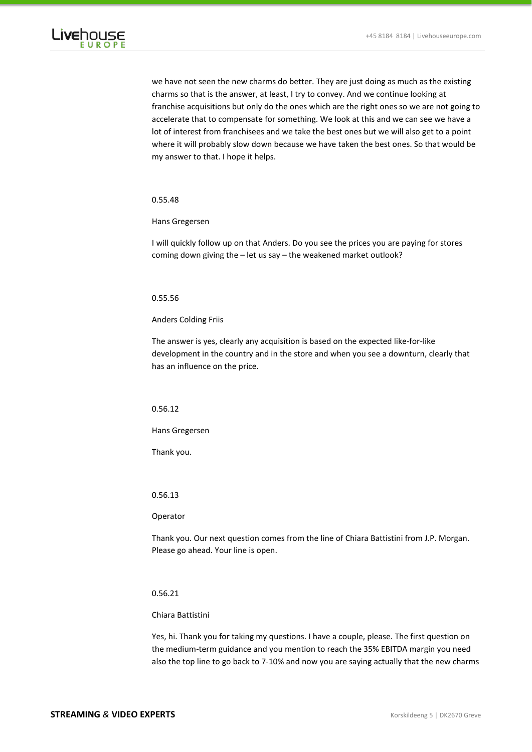

we have not seen the new charms do better. They are just doing as much as the existing charms so that is the answer, at least, I try to convey. And we continue looking at franchise acquisitions but only do the ones which are the right ones so we are not going to accelerate that to compensate for something. We look at this and we can see we have a lot of interest from franchisees and we take the best ones but we will also get to a point where it will probably slow down because we have taken the best ones. So that would be my answer to that. I hope it helps.

# 0.55.48

Hans Gregersen

I will quickly follow up on that Anders. Do you see the prices you are paying for stores coming down giving the – let us say – the weakened market outlook?

# 0.55.56

Anders Colding Friis

The answer is yes, clearly any acquisition is based on the expected like-for-like development in the country and in the store and when you see a downturn, clearly that has an influence on the price.

# 0.56.12

Hans Gregersen

Thank you.

# 0.56.13

# Operator

Thank you. Our next question comes from the line of Chiara Battistini from J.P. Morgan. Please go ahead. Your line is open.

# 0.56.21

# Chiara Battistini

Yes, hi. Thank you for taking my questions. I have a couple, please. The first question on the medium-term guidance and you mention to reach the 35% EBITDA margin you need also the top line to go back to 7-10% and now you are saying actually that the new charms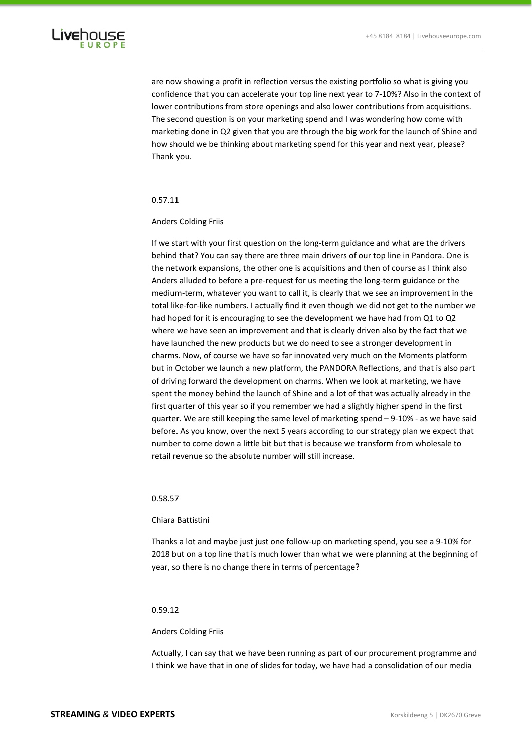

are now showing a profit in reflection versus the existing portfolio so what is giving you confidence that you can accelerate your top line next year to 7-10%? Also in the context of lower contributions from store openings and also lower contributions from acquisitions. The second question is on your marketing spend and I was wondering how come with marketing done in Q2 given that you are through the big work for the launch of Shine and how should we be thinking about marketing spend for this year and next year, please? Thank you.

### 0.57.11

# Anders Colding Friis

If we start with your first question on the long-term guidance and what are the drivers behind that? You can say there are three main drivers of our top line in Pandora. One is the network expansions, the other one is acquisitions and then of course as I think also Anders alluded to before a pre-request for us meeting the long-term guidance or the medium-term, whatever you want to call it, is clearly that we see an improvement in the total like-for-like numbers. I actually find it even though we did not get to the number we had hoped for it is encouraging to see the development we have had from Q1 to Q2 where we have seen an improvement and that is clearly driven also by the fact that we have launched the new products but we do need to see a stronger development in charms. Now, of course we have so far innovated very much on the Moments platform but in October we launch a new platform, the PANDORA Reflections, and that is also part of driving forward the development on charms. When we look at marketing, we have spent the money behind the launch of Shine and a lot of that was actually already in the first quarter of this year so if you remember we had a slightly higher spend in the first quarter. We are still keeping the same level of marketing spend – 9-10% - as we have said before. As you know, over the next 5 years according to our strategy plan we expect that number to come down a little bit but that is because we transform from wholesale to retail revenue so the absolute number will still increase.

## 0.58.57

### Chiara Battistini

Thanks a lot and maybe just just one follow-up on marketing spend, you see a 9-10% for 2018 but on a top line that is much lower than what we were planning at the beginning of year, so there is no change there in terms of percentage?

# 0.59.12

### Anders Colding Friis

Actually, I can say that we have been running as part of our procurement programme and I think we have that in one of slides for today, we have had a consolidation of our media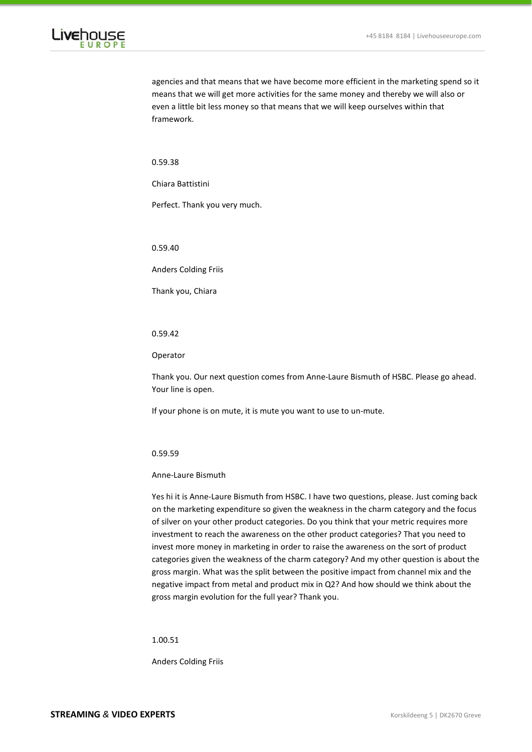

agencies and that means that we have become more efficient in the marketing spend so it means that we will get more activities for the same money and thereby we will also or even a little bit less money so that means that we will keep ourselves within that framework.

0.59.38

Chiara Battistini

Perfect. Thank you very much.

0.59.40

Anders Colding Friis

Thank you, Chiara

## 0.59.42

Operator

Thank you. Our next question comes from Anne-Laure Bismuth of HSBC. Please go ahead. Your line is open.

If your phone is on mute, it is mute you want to use to un-mute.

0.59.59

Anne-Laure Bismuth

Yes hi it is Anne-Laure Bismuth from HSBC. I have two questions, please. Just coming back on the marketing expenditure so given the weakness in the charm category and the focus of silver on your other product categories. Do you think that your metric requires more investment to reach the awareness on the other product categories? That you need to invest more money in marketing in order to raise the awareness on the sort of product categories given the weakness of the charm category? And my other question is about the gross margin. What was the split between the positive impact from channel mix and the negative impact from metal and product mix in Q2? And how should we think about the gross margin evolution for the full year? Thank you.

1.00.51

Anders Colding Friis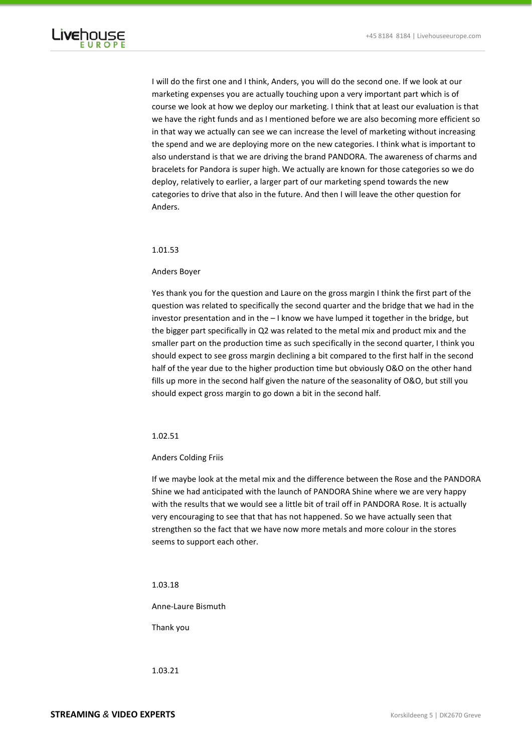

I will do the first one and I think, Anders, you will do the second one. If we look at our marketing expenses you are actually touching upon a very important part which is of course we look at how we deploy our marketing. I think that at least our evaluation is that we have the right funds and as I mentioned before we are also becoming more efficient so in that way we actually can see we can increase the level of marketing without increasing the spend and we are deploying more on the new categories. I think what is important to also understand is that we are driving the brand PANDORA. The awareness of charms and bracelets for Pandora is super high. We actually are known for those categories so we do deploy, relatively to earlier, a larger part of our marketing spend towards the new categories to drive that also in the future. And then I will leave the other question for Anders.

# 1.01.53

## Anders Boyer

Yes thank you for the question and Laure on the gross margin I think the first part of the question was related to specifically the second quarter and the bridge that we had in the investor presentation and in the – I know we have lumped it together in the bridge, but the bigger part specifically in Q2 was related to the metal mix and product mix and the smaller part on the production time as such specifically in the second quarter, I think you should expect to see gross margin declining a bit compared to the first half in the second half of the year due to the higher production time but obviously O&O on the other hand fills up more in the second half given the nature of the seasonality of O&O, but still you should expect gross margin to go down a bit in the second half.

# 1.02.51

### Anders Colding Friis

If we maybe look at the metal mix and the difference between the Rose and the PANDORA Shine we had anticipated with the launch of PANDORA Shine where we are very happy with the results that we would see a little bit of trail off in PANDORA Rose. It is actually very encouraging to see that that has not happened. So we have actually seen that strengthen so the fact that we have now more metals and more colour in the stores seems to support each other.

### 1.03.18

Anne-Laure Bismuth

Thank you

1.03.21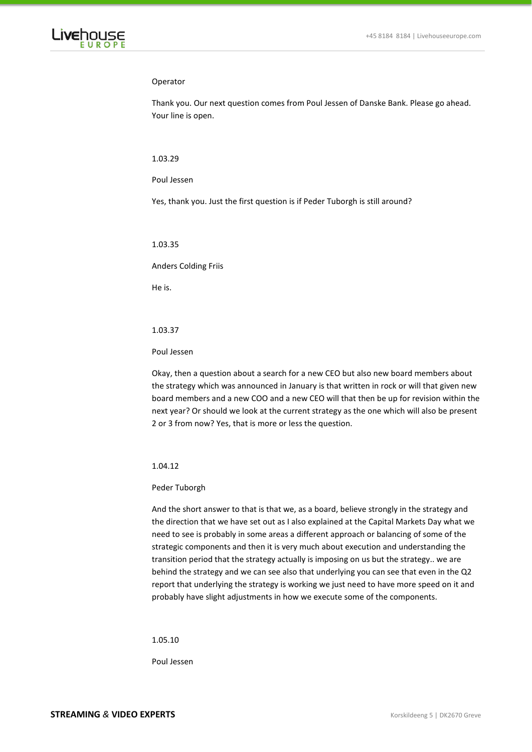

## Operator

Thank you. Our next question comes from Poul Jessen of Danske Bank. Please go ahead. Your line is open.

### 1.03.29

### Poul Jessen

Yes, thank you. Just the first question is if Peder Tuborgh is still around?

1.03.35

Anders Colding Friis

He is.

### 1.03.37

### Poul Jessen

Okay, then a question about a search for a new CEO but also new board members about the strategy which was announced in January is that written in rock or will that given new board members and a new COO and a new CEO will that then be up for revision within the next year? Or should we look at the current strategy as the one which will also be present 2 or 3 from now? Yes, that is more or less the question.

# 1.04.12

# Peder Tuborgh

And the short answer to that is that we, as a board, believe strongly in the strategy and the direction that we have set out as I also explained at the Capital Markets Day what we need to see is probably in some areas a different approach or balancing of some of the strategic components and then it is very much about execution and understanding the transition period that the strategy actually is imposing on us but the strategy.. we are behind the strategy and we can see also that underlying you can see that even in the Q2 report that underlying the strategy is working we just need to have more speed on it and probably have slight adjustments in how we execute some of the components.

1.05.10

Poul Jessen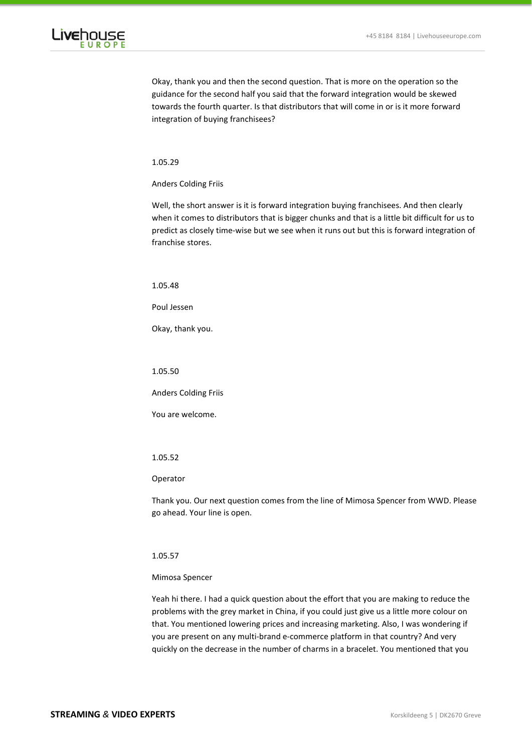

Okay, thank you and then the second question. That is more on the operation so the guidance for the second half you said that the forward integration would be skewed towards the fourth quarter. Is that distributors that will come in or is it more forward integration of buying franchisees?

1.05.29

Anders Colding Friis

Well, the short answer is it is forward integration buying franchisees. And then clearly when it comes to distributors that is bigger chunks and that is a little bit difficult for us to predict as closely time-wise but we see when it runs out but this is forward integration of franchise stores.

1.05.48

Poul Jessen

Okay, thank you.

1.05.50

Anders Colding Friis

You are welcome.

1.05.52

### Operator

Thank you. Our next question comes from the line of Mimosa Spencer from WWD. Please go ahead. Your line is open.

# 1.05.57

# Mimosa Spencer

Yeah hi there. I had a quick question about the effort that you are making to reduce the problems with the grey market in China, if you could just give us a little more colour on that. You mentioned lowering prices and increasing marketing. Also, I was wondering if you are present on any multi-brand e-commerce platform in that country? And very quickly on the decrease in the number of charms in a bracelet. You mentioned that you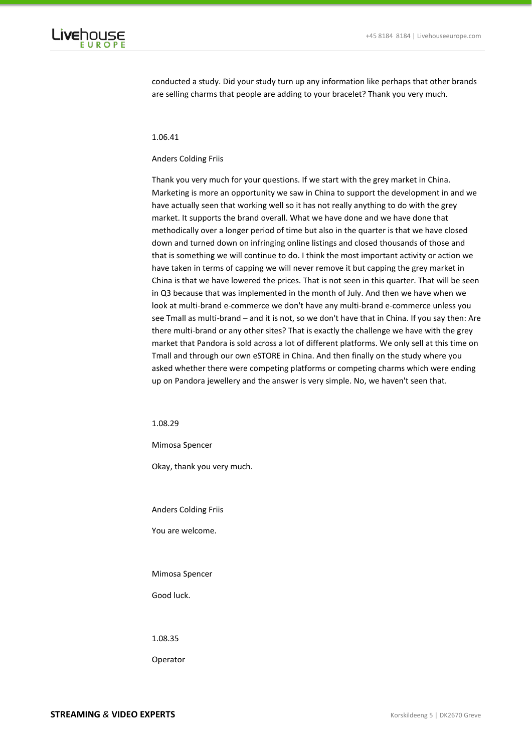

conducted a study. Did your study turn up any information like perhaps that other brands are selling charms that people are adding to your bracelet? Thank you very much.

#### 1.06.41

### Anders Colding Friis

Thank you very much for your questions. If we start with the grey market in China. Marketing is more an opportunity we saw in China to support the development in and we have actually seen that working well so it has not really anything to do with the grey market. It supports the brand overall. What we have done and we have done that methodically over a longer period of time but also in the quarter is that we have closed down and turned down on infringing online listings and closed thousands of those and that is something we will continue to do. I think the most important activity or action we have taken in terms of capping we will never remove it but capping the grey market in China is that we have lowered the prices. That is not seen in this quarter. That will be seen in Q3 because that was implemented in the month of July. And then we have when we look at multi-brand e-commerce we don't have any multi-brand e-commerce unless you see Tmall as multi-brand – and it is not, so we don't have that in China. If you say then: Are there multi-brand or any other sites? That is exactly the challenge we have with the grey market that Pandora is sold across a lot of different platforms. We only sell at this time on Tmall and through our own eSTORE in China. And then finally on the study where you asked whether there were competing platforms or competing charms which were ending up on Pandora jewellery and the answer is very simple. No, we haven't seen that.

1.08.29

Mimosa Spencer

Okay, thank you very much.

Anders Colding Friis

You are welcome.

### Mimosa Spencer

Good luck.

1.08.35

Operator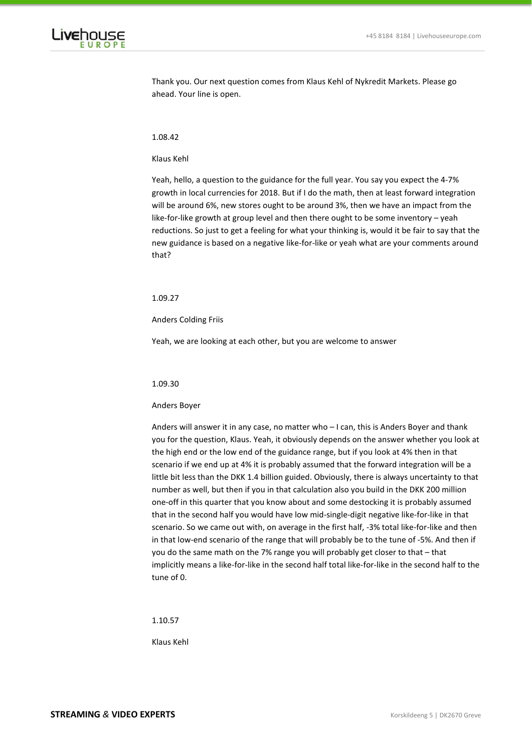

Thank you. Our next question comes from Klaus Kehl of Nykredit Markets. Please go ahead. Your line is open.

#### 1.08.42

### Klaus Kehl

Yeah, hello, a question to the guidance for the full year. You say you expect the 4-7% growth in local currencies for 2018. But if I do the math, then at least forward integration will be around 6%, new stores ought to be around 3%, then we have an impact from the like-for-like growth at group level and then there ought to be some inventory – yeah reductions. So just to get a feeling for what your thinking is, would it be fair to say that the new guidance is based on a negative like-for-like or yeah what are your comments around that?

# 1.09.27

Anders Colding Friis

Yeah, we are looking at each other, but you are welcome to answer

### 1.09.30

#### Anders Boyer

Anders will answer it in any case, no matter who – I can, this is Anders Boyer and thank you for the question, Klaus. Yeah, it obviously depends on the answer whether you look at the high end or the low end of the guidance range, but if you look at 4% then in that scenario if we end up at 4% it is probably assumed that the forward integration will be a little bit less than the DKK 1.4 billion guided. Obviously, there is always uncertainty to that number as well, but then if you in that calculation also you build in the DKK 200 million one-off in this quarter that you know about and some destocking it is probably assumed that in the second half you would have low mid-single-digit negative like-for-like in that scenario. So we came out with, on average in the first half, -3% total like-for-like and then in that low-end scenario of the range that will probably be to the tune of -5%. And then if you do the same math on the 7% range you will probably get closer to that – that implicitly means a like-for-like in the second half total like-for-like in the second half to the tune of 0.

1.10.57

Klaus Kehl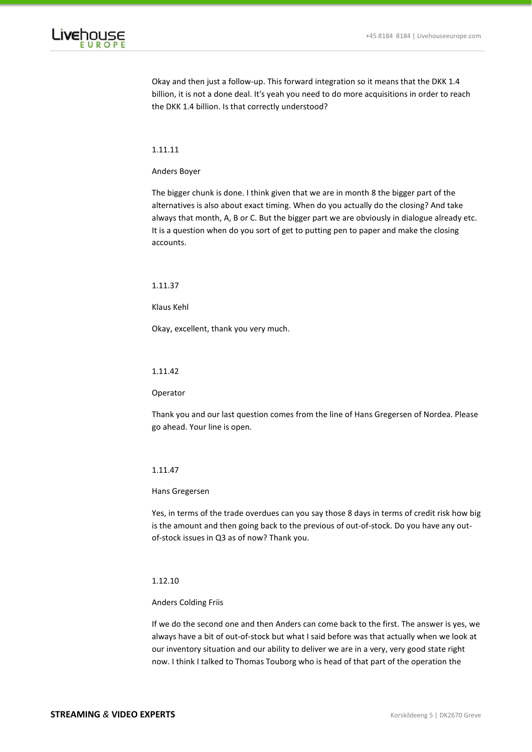

Okay and then just a follow-up. This forward integration so it means that the DKK 1.4 billion, it is not a done deal. It's yeah you need to do more acquisitions in order to reach the DKK 1.4 billion. Is that correctly understood?

# 1.11.11

### Anders Boyer

The bigger chunk is done. I think given that we are in month 8 the bigger part of the alternatives is also about exact timing. When do you actually do the closing? And take always that month, A, B or C. But the bigger part we are obviously in dialogue already etc. It is a question when do you sort of get to putting pen to paper and make the closing accounts.

### 1.11.37

Klaus Kehl

Okay, excellent, thank you very much.

## 1.11.42

### Operator

Thank you and our last question comes from the line of Hans Gregersen of Nordea. Please go ahead. Your line is open.

# 1.11.47

### Hans Gregersen

Yes, in terms of the trade overdues can you say those 8 days in terms of credit risk how big is the amount and then going back to the previous of out-of-stock. Do you have any outof-stock issues in Q3 as of now? Thank you.

# 1.12.10

### Anders Colding Friis

If we do the second one and then Anders can come back to the first. The answer is yes, we always have a bit of out-of-stock but what I said before was that actually when we look at our inventory situation and our ability to deliver we are in a very, very good state right now. I think I talked to Thomas Touborg who is head of that part of the operation the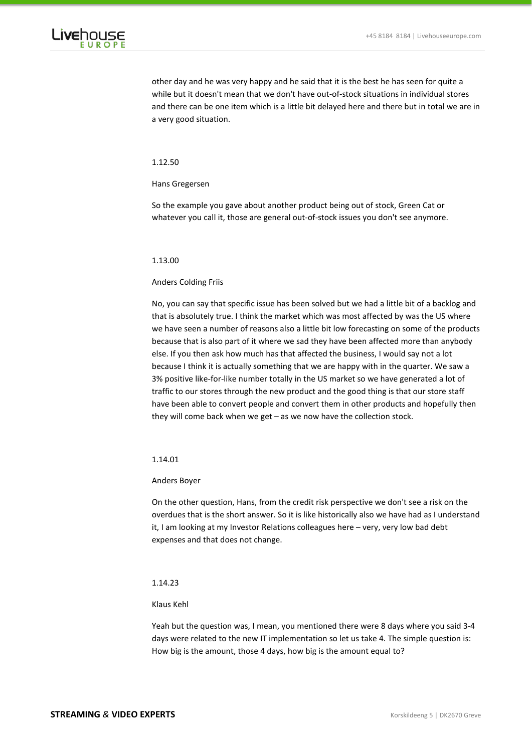

other day and he was very happy and he said that it is the best he has seen for quite a while but it doesn't mean that we don't have out-of-stock situations in individual stores and there can be one item which is a little bit delayed here and there but in total we are in a very good situation.

# 1.12.50

## Hans Gregersen

So the example you gave about another product being out of stock, Green Cat or whatever you call it, those are general out-of-stock issues you don't see anymore.

### 1.13.00

# Anders Colding Friis

No, you can say that specific issue has been solved but we had a little bit of a backlog and that is absolutely true. I think the market which was most affected by was the US where we have seen a number of reasons also a little bit low forecasting on some of the products because that is also part of it where we sad they have been affected more than anybody else. If you then ask how much has that affected the business, I would say not a lot because I think it is actually something that we are happy with in the quarter. We saw a 3% positive like-for-like number totally in the US market so we have generated a lot of traffic to our stores through the new product and the good thing is that our store staff have been able to convert people and convert them in other products and hopefully then they will come back when we get – as we now have the collection stock.

## 1.14.01

### Anders Boyer

On the other question, Hans, from the credit risk perspective we don't see a risk on the overdues that is the short answer. So it is like historically also we have had as I understand it, I am looking at my Investor Relations colleagues here – very, very low bad debt expenses and that does not change.

# 1.14.23

# Klaus Kehl

Yeah but the question was, I mean, you mentioned there were 8 days where you said 3-4 days were related to the new IT implementation so let us take 4. The simple question is: How big is the amount, those 4 days, how big is the amount equal to?